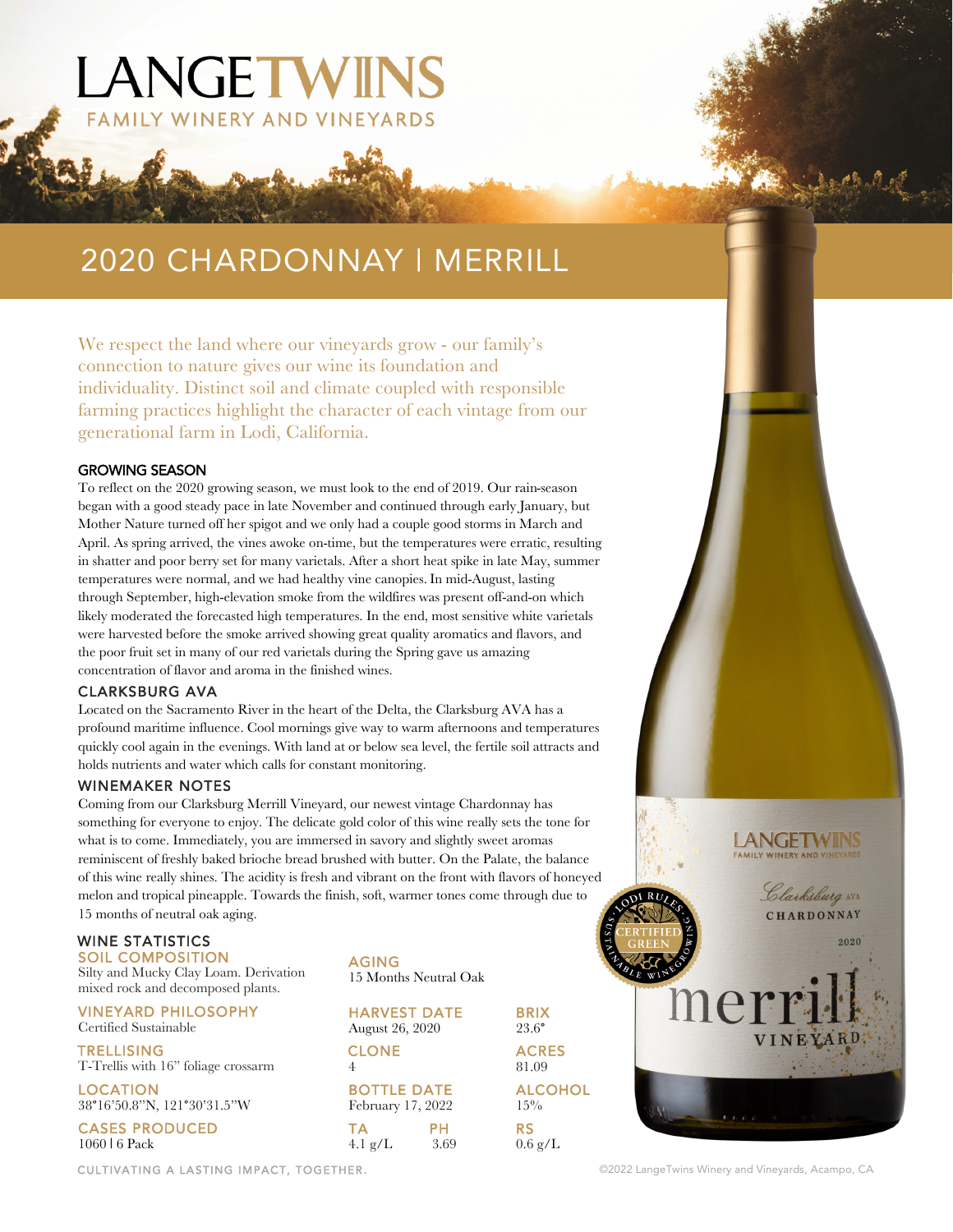# 2020 CHARDONNAY | MERRILL

LANGETWINS

**FAMILY WINERY AND VINEYARDS** 

We respect the land where our vineyards grow - our family's connection to nature gives our wine its foundation and individuality. Distinct soil and climate coupled with responsible farming practices highlight the character of each vintage from our generational farm in Lodi, California.

#### GROWING SEASON

To reflect on the 2020 growing season, we must look to the end of 2019. Our rain-season began with a good steady pace in late November and continued through early January, but Mother Nature turned off her spigot and we only had a couple good storms in March and April. As spring arrived, the vines awoke on-time, but the temperatures were erratic, resulting in shatter and poor berry set for many varietals. After a short heat spike in late May, summer temperatures were normal, and we had healthy vine canopies. In mid-August, lasting through September, high-elevation smoke from the wildfires was present off-and-on which likely moderated the forecasted high temperatures. In the end, most sensitive white varietals were harvested before the smoke arrived showing great quality aromatics and flavors, and the poor fruit set in many of our red varietals during the Spring gave us amazing concentration of flavor and aroma in the finished wines.

#### CLARKSBURG AVA

Located on the Sacramento River in the heart of the Delta, the Clarksburg AVA has a profound maritime influence. Cool mornings give way to warm afternoons and temperatures quickly cool again in the evenings. With land at or below sea level, the fertile soil attracts and holds nutrients and water which calls for constant monitoring.

#### WINEMAKER NOTES

Coming from our Clarksburg Merrill Vineyard, our newest vintage Chardonnay has something for everyone to enjoy. The delicate gold color of this wine really sets the tone for what is to come. Immediately, you are immersed in savory and slightly sweet aromas reminiscent of freshly baked brioche bread brushed with butter. On the Palate, the balance of this wine really shines. The acidity is fresh and vibrant on the front with flavors of honeyed melon and tropical pineapple. Towards the finish, soft, warmer tones come through due to 15 months of neutral oak aging.

#### WINE STATISTICS

SOIL COMPOSITION Silty and Mucky Clay Loam. Derivation mixed rock and decomposed plants.

VINEYARD PHILOSOPHY Certified Sustainable

**TRELLISING** T-Trellis with 16" foliage crossarm

LOCATION 38°16'50.8"N, 121°30'31.5"W

CASES PRODUCED 1060 | 6 Pack

15 Months Neutral Oak **HARVEST DATE** BRIX<br>August 26, 2020 23.6°

AGING

August 26, 2020 CLONE ACRES 4 81.09 **BOTTLE DATE ALCOHOL**<br>February 17, 2022 15% February 17, 2022

TA PH RS 4.1 g/L 3.69 0.6 g/L



CULTIVATING A LASTING IMPACT, TOGETHER. **Example 2002** LangeTwins Winery and Vineyards, Acampo, CA